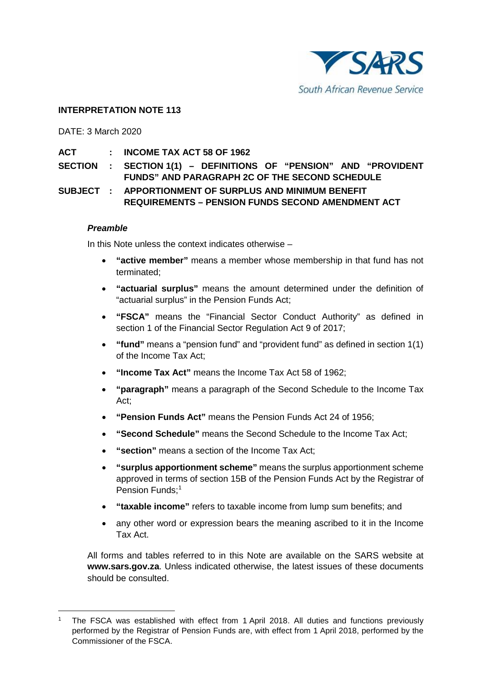

### **INTERPRETATION NOTE 113**

DATE: 3 March 2020

- **ACT : INCOME TAX ACT 58 OF 1962**
- **SECTION : SECTION 1(1) – DEFINITIONS OF "PENSION" AND "PROVIDENT FUNDS" AND PARAGRAPH 2C OF THE SECOND SCHEDULE**

## **SUBJECT : APPORTIONMENT OF SURPLUS AND MINIMUM BENEFIT REQUIREMENTS – PENSION FUNDS SECOND AMENDMENT ACT**

#### *Preamble*

In this Note unless the context indicates otherwise –

- **"active member"** means a member whose membership in that fund has not terminated;
- **"actuarial surplus"** means the amount determined under the definition of "actuarial surplus" in the Pension Funds Act;
- **"FSCA"** means the "Financial Sector Conduct Authority" as defined in section 1 of the Financial Sector Regulation Act 9 of 2017;
- **"fund"** means a "pension fund" and "provident fund" as defined in section 1(1) of the Income Tax Act;
- **"Income Tax Act"** means the Income Tax Act 58 of 1962;
- **"paragraph"** means a paragraph of the Second Schedule to the Income Tax Act;
- **"Pension Funds Act"** means the Pension Funds Act 24 of 1956;
- **"Second Schedule"** means the Second Schedule to the Income Tax Act;
- "section" means a section of the Income Tax Act;
- **"surplus apportionment scheme"** means the surplus apportionment scheme approved in terms of section 15B of the Pension Funds Act by the Registrar of Pension Funds; [1](#page-0-0)
- **"taxable income"** refers to taxable income from lump sum benefits; and
- any other word or expression bears the meaning ascribed to it in the Income Tax Act.

All forms and tables referred to in this Note are available on the SARS website at **[www.sars.gov.za](http://www.sars.gov.za/)**. Unless indicated otherwise, the latest issues of these documents should be consulted.

<span id="page-0-0"></span> <sup>1</sup> The FSCA was established with effect from 1 April 2018. All duties and functions previously performed by the Registrar of Pension Funds are, with effect from 1 April 2018, performed by the Commissioner of the FSCA.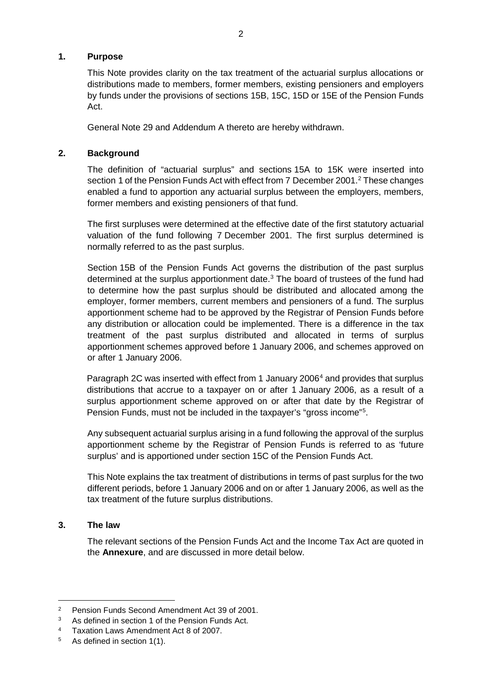#### **1. Purpose**

This Note provides clarity on the tax treatment of the actuarial surplus allocations or distributions made to members, former members, existing pensioners and employers by funds under the provisions of sections 15B, 15C, 15D or 15E of the Pension Funds Act.

General Note 29 and Addendum A thereto are hereby withdrawn.

## **2. Background**

The definition of "actuarial surplus" and sections 15A to 15K were inserted into section 1 of the Pension Funds Act with effect from 7 December 2001. [2](#page-1-0) These changes enabled a fund to apportion any actuarial surplus between the employers, members, former members and existing pensioners of that fund.

The first surpluses were determined at the effective date of the first statutory actuarial valuation of the fund following 7 December 2001. The first surplus determined is normally referred to as the past surplus.

Section 15B of the Pension Funds Act governs the distribution of the past surplus determined at the surplus apportionment date. [3](#page-1-1) The board of trustees of the fund had to determine how the past surplus should be distributed and allocated among the employer, former members, current members and pensioners of a fund. The surplus apportionment scheme had to be approved by the Registrar of Pension Funds before any distribution or allocation could be implemented. There is a difference in the tax treatment of the past surplus distributed and allocated in terms of surplus apportionment schemes approved before 1 January 2006, and schemes approved on or after 1 January 2006.

Paragraph 2C was inserted with effect from 1 January 2006<sup>[4](#page-1-2)</sup> and provides that surplus distributions that accrue to a taxpayer on or after 1 January 2006, as a result of a surplus apportionment scheme approved on or after that date by the Registrar of Pension Funds, must not be included in the taxpayer's "gross income"<sup>[5](#page-1-3)</sup>.

Any subsequent actuarial surplus arising in a fund following the approval of the surplus apportionment scheme by the Registrar of Pension Funds is referred to as 'future surplus' and is apportioned under section 15C of the Pension Funds Act.

This Note explains the tax treatment of distributions in terms of past surplus for the two different periods, before 1 January 2006 and on or after 1 January 2006, as well as the tax treatment of the future surplus distributions.

#### **3. The law**

The relevant sections of the Pension Funds Act and the Income Tax Act are quoted in the **[Annexure](#page-9-0)**, and are discussed in more detail below.

<span id="page-1-0"></span> <sup>2</sup> Pension Funds Second Amendment Act 39 of 2001.

<span id="page-1-1"></span><sup>3</sup> As defined in section 1 of the Pension Funds Act.

<span id="page-1-2"></span><sup>4</sup> Taxation Laws Amendment Act 8 of 2007.

<span id="page-1-3"></span><sup>5</sup> As defined in section 1(1).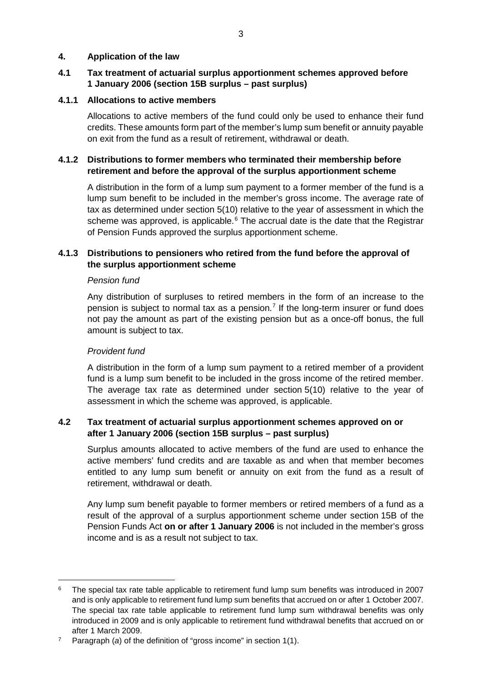#### **4. Application of the law**

## **4.1 Tax treatment of actuarial surplus apportionment schemes approved before 1 January 2006 (section 15B surplus – past surplus)**

## **4.1.1 Allocations to active members**

Allocations to active members of the fund could only be used to enhance their fund credits. These amounts form part of the member's lump sum benefit or annuity payable on exit from the fund as a result of retirement, withdrawal or death.

## **4.1.2 Distributions to former members who terminated their membership before retirement and before the approval of the surplus apportionment scheme**

A distribution in the form of a lump sum payment to a former member of the fund is a lump sum benefit to be included in the member's gross income. The average rate of tax as determined under section 5(10) relative to the year of assessment in which the scheme was approved, is applicable.<sup>[6](#page-2-0)</sup> The accrual date is the date that the Registrar of Pension Funds approved the surplus apportionment scheme.

## **4.1.3 Distributions to pensioners who retired from the fund before the approval of the surplus apportionment scheme**

#### *Pension fund*

Any distribution of surpluses to retired members in the form of an increase to the pension is subject to normal tax as a pension.<sup>[7](#page-2-1)</sup> If the long-term insurer or fund does not pay the amount as part of the existing pension but as a once-off bonus, the full amount is subject to tax.

#### *Provident fund*

A distribution in the form of a lump sum payment to a retired member of a provident fund is a lump sum benefit to be included in the gross income of the retired member. The average tax rate as determined under section 5(10) relative to the year of assessment in which the scheme was approved, is applicable.

## **4.2 Tax treatment of actuarial surplus apportionment schemes approved on or after 1 January 2006 (section 15B surplus – past surplus)**

Surplus amounts allocated to active members of the fund are used to enhance the active members' fund credits and are taxable as and when that member becomes entitled to any lump sum benefit or annuity on exit from the fund as a result of retirement, withdrawal or death.

Any lump sum benefit payable to former members or retired members of a fund as a result of the approval of a surplus apportionment scheme under section 15B of the Pension Funds Act **on or after 1 January 2006** is not included in the member's gross income and is as a result not subject to tax.

<span id="page-2-0"></span> <sup>6</sup> The special tax rate table applicable to retirement fund lump sum benefits was introduced in 2007 and is only applicable to retirement fund lump sum benefits that accrued on or after 1 October 2007. The special tax rate table applicable to retirement fund lump sum withdrawal benefits was only introduced in 2009 and is only applicable to retirement fund withdrawal benefits that accrued on or after 1 March 2009.

<span id="page-2-1"></span>Paragraph (*a*) of the definition of "gross income" in section 1(1).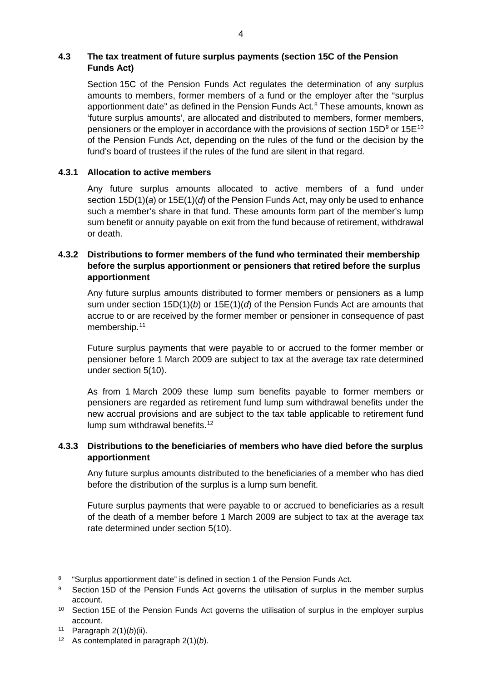## **4.3 The tax treatment of future surplus payments (section 15C of the Pension Funds Act)**

Section 15C of the Pension Funds Act regulates the determination of any surplus amounts to members, former members of a fund or the employer after the "surplus apportionment date" as defined in the Pension Funds Act. [8](#page-3-0) These amounts, known as 'future surplus amounts', are allocated and distributed to members, former members, pensioners or the employer in accordance with the provisions of section  $15D<sup>9</sup>$  $15D<sup>9</sup>$  $15D<sup>9</sup>$  or  $15E<sup>10</sup>$  $15E<sup>10</sup>$  $15E<sup>10</sup>$ of the Pension Funds Act, depending on the rules of the fund or the decision by the fund's board of trustees if the rules of the fund are silent in that regard.

## **4.3.1 Allocation to active members**

Any future surplus amounts allocated to active members of a fund under section 15D(1)(*a*) or 15E(1)(*d*) of the Pension Funds Act, may only be used to enhance such a member's share in that fund. These amounts form part of the member's lump sum benefit or annuity payable on exit from the fund because of retirement, withdrawal or death.

## **4.3.2 Distributions to former members of the fund who terminated their membership before the surplus apportionment or pensioners that retired before the surplus apportionment**

Any future surplus amounts distributed to former members or pensioners as a lump sum under section 15D(1)(*b*) or 15E(1)(*d*) of the Pension Funds Act are amounts that accrue to or are received by the former member or pensioner in consequence of past membership.<sup>[11](#page-3-3)</sup>

Future surplus payments that were payable to or accrued to the former member or pensioner before 1 March 2009 are subject to tax at the average tax rate determined under section 5(10).

As from 1 March 2009 these lump sum benefits payable to former members or pensioners are regarded as retirement fund lump sum withdrawal benefits under the new accrual provisions and are subject to the tax table applicable to retirement fund lump sum withdrawal benefits.<sup>[12](#page-3-4)</sup>

## **4.3.3 Distributions to the beneficiaries of members who have died before the surplus apportionment**

Any future surplus amounts distributed to the beneficiaries of a member who has died before the distribution of the surplus is a lump sum benefit.

Future surplus payments that were payable to or accrued to beneficiaries as a result of the death of a member before 1 March 2009 are subject to tax at the average tax rate determined under section 5(10).

<span id="page-3-0"></span> <sup>8</sup> "Surplus apportionment date" is defined in section 1 of the Pension Funds Act.

<span id="page-3-1"></span><sup>&</sup>lt;sup>9</sup> Section 15D of the Pension Funds Act governs the utilisation of surplus in the member surplus account.

<span id="page-3-2"></span><sup>&</sup>lt;sup>10</sup> Section 15E of the Pension Funds Act governs the utilisation of surplus in the employer surplus account.

<span id="page-3-3"></span><sup>11</sup> Paragraph 2(1)(*b*)(ii).

<span id="page-3-4"></span><sup>12</sup> As contemplated in paragraph 2(1)(*b*).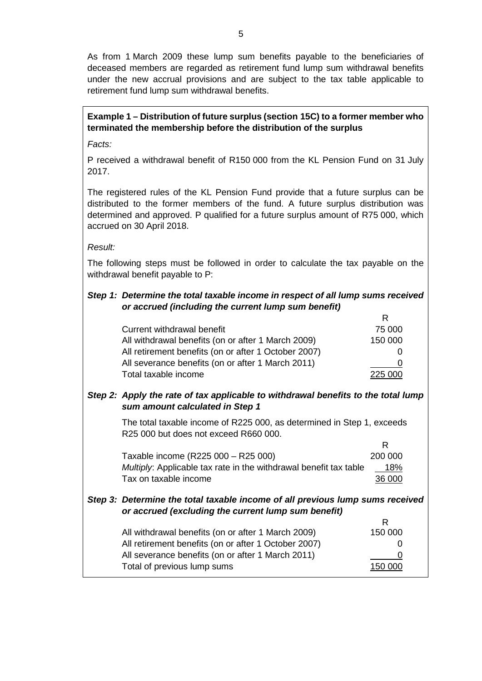As from 1 March 2009 these lump sum benefits payable to the beneficiaries of deceased members are regarded as retirement fund lump sum withdrawal benefits under the new accrual provisions and are subject to the tax table applicable to retirement fund lump sum withdrawal benefits.

# **Example 1 – Distribution of future surplus (section 15C) to a former member who terminated the membership before the distribution of the surplus**

*Facts:*

P received a withdrawal benefit of R150 000 from the KL Pension Fund on 31 July 2017.

The registered rules of the KL Pension Fund provide that a future surplus can be distributed to the former members of the fund. A future surplus distribution was determined and approved. P qualified for a future surplus amount of R75 000, which accrued on 30 April 2018.

*Result:*

The following steps must be followed in order to calculate the tax payable on the withdrawal benefit payable to P:

# *Step 1: Determine the total taxable income in respect of all lump sums received or accrued (including the current lump sum benefit)*

| Current withdrawal benefit                           | 75 000  |
|------------------------------------------------------|---------|
| All withdrawal benefits (on or after 1 March 2009)   | 150 000 |
| All retirement benefits (on or after 1 October 2007) |         |
| All severance benefits (on or after 1 March 2011)    |         |
| Total taxable income                                 | 225 000 |

## *Step 2: Apply the rate of tax applicable to withdrawal benefits to the total lump sum amount calculated in Step 1*

The total taxable income of R225 000, as determined in Step 1, exceeds R25 000 but does not exceed R660 000.

R

| 200 000 |
|---------|
| 18%     |
| 36 000  |
|         |

#### *Step 3: Determine the total taxable income of all previous lump sums received or accrued (excluding the current lump sum benefit)* R

| All withdrawal benefits (on or after 1 March 2009)   | 150 000      |
|------------------------------------------------------|--------------|
| All retirement benefits (on or after 1 October 2007) | $\mathbf{U}$ |
| All severance benefits (on or after 1 March 2011)    | Ü            |
| Total of previous lump sums                          | 150 000      |
|                                                      |              |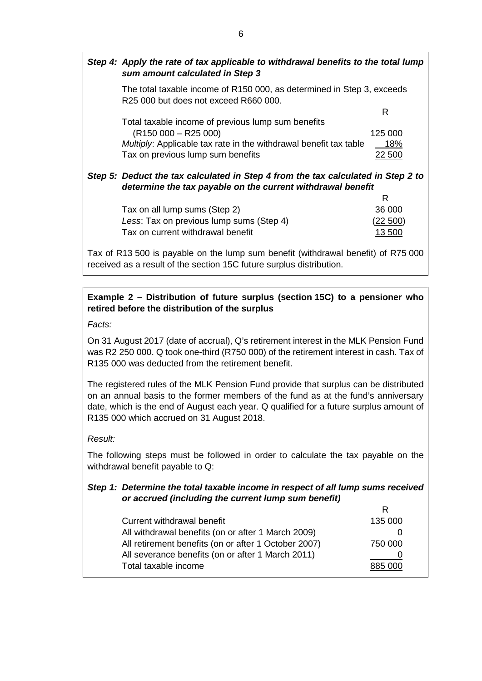| Step 4: Apply the rate of tax applicable to withdrawal benefits to the total lump<br>sum amount calculated in Step 3 |           |
|----------------------------------------------------------------------------------------------------------------------|-----------|
| The total taxable income of R150 000, as determined in Step 3, exceeds<br>R25 000 but does not exceed R660 000.      |           |
|                                                                                                                      | R         |
| Total taxable income of previous lump sum benefits                                                                   |           |
| $(R150 000 - R25 000)$                                                                                               | 125 000   |
| Multiply: Applicable tax rate in the withdrawal benefit tax table                                                    | 18%       |
| Tax on previous lump sum benefits                                                                                    | 22 500    |
| Step 5: Deduct the tax calculated in Step 4 from the tax calculated in Step 2 to                                     |           |
| determine the tax payable on the current withdrawal benefit                                                          |           |
|                                                                                                                      | R         |
| Tax on all lump sums (Step 2)                                                                                        | 36 000    |
| Less: Tax on previous lump sums (Step 4)                                                                             | $22\,500$ |

Tax of R13 500 is payable on the lump sum benefit (withdrawal benefit) of R75 000 received as a result of the section 15C future surplus distribution.

Tax on current withdrawal benefit 13 500

# **Example 2 – Distribution of future surplus (section 15C) to a pensioner who retired before the distribution of the surplus**

*Facts:* 

On 31 August 2017 (date of accrual), Q's retirement interest in the MLK Pension Fund was R2 250 000. Q took one-third (R750 000) of the retirement interest in cash. Tax of R135 000 was deducted from the retirement benefit.

The registered rules of the MLK Pension Fund provide that surplus can be distributed on an annual basis to the former members of the fund as at the fund's anniversary date, which is the end of August each year. Q qualified for a future surplus amount of R135 000 which accrued on 31 August 2018.

#### *Result:*

The following steps must be followed in order to calculate the tax payable on the withdrawal benefit payable to Q:

#### *Step 1: Determine the total taxable income in respect of all lump sums received or accrued (including the current lump sum benefit)*  $\mathbf{r}$

| Current withdrawal benefit                           | 135 000 |
|------------------------------------------------------|---------|
| All withdrawal benefits (on or after 1 March 2009)   |         |
| All retirement benefits (on or after 1 October 2007) | 750 000 |
| All severance benefits (on or after 1 March 2011)    |         |
| Total taxable income                                 | 885 000 |
|                                                      |         |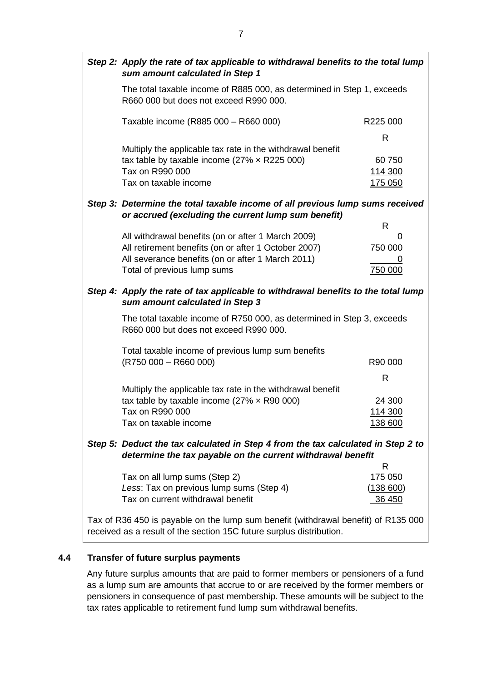|                                                                                                                                                            | Step 2: Apply the rate of tax applicable to withdrawal benefits to the total lump<br>sum amount calculated in Step 1                                          |                                         |
|------------------------------------------------------------------------------------------------------------------------------------------------------------|---------------------------------------------------------------------------------------------------------------------------------------------------------------|-----------------------------------------|
|                                                                                                                                                            | The total taxable income of R885 000, as determined in Step 1, exceeds<br>R660 000 but does not exceed R990 000.                                              |                                         |
|                                                                                                                                                            | Taxable income (R885 000 - R660 000)                                                                                                                          | R225 000                                |
|                                                                                                                                                            | Multiply the applicable tax rate in the withdrawal benefit<br>tax table by taxable income (27% $\times$ R225 000)<br>Tax on R990 000<br>Tax on taxable income | R<br>60750<br>114 300<br><u>175 050</u> |
|                                                                                                                                                            | Step 3: Determine the total taxable income of all previous lump sums received<br>or accrued (excluding the current lump sum benefit)                          |                                         |
|                                                                                                                                                            | All withdrawal benefits (on or after 1 March 2009)                                                                                                            | R<br>0                                  |
|                                                                                                                                                            | All retirement benefits (on or after 1 October 2007)<br>All severance benefits (on or after 1 March 2011)<br>Total of previous lump sums                      | 750 000<br>0<br>750 000                 |
| Step 4: Apply the rate of tax applicable to withdrawal benefits to the total lump<br>sum amount calculated in Step 3                                       |                                                                                                                                                               |                                         |
|                                                                                                                                                            | The total taxable income of R750 000, as determined in Step 3, exceeds<br>R660 000 but does not exceed R990 000.                                              |                                         |
|                                                                                                                                                            | Total taxable income of previous lump sum benefits<br>$(R750000 - R66000)$                                                                                    | R90 000                                 |
|                                                                                                                                                            |                                                                                                                                                               | R                                       |
|                                                                                                                                                            | Multiply the applicable tax rate in the withdrawal benefit<br>tax table by taxable income (27% $\times$ R90 000)<br>Tax on R990 000<br>Tax on taxable income  | 24 300<br>114 300<br><u>138 600</u>     |
| Step 5: Deduct the tax calculated in Step 4 from the tax calculated in Step 2 to<br>determine the tax payable on the current withdrawal benefit            |                                                                                                                                                               |                                         |
|                                                                                                                                                            | Tax on all lump sums (Step 2)<br>Less: Tax on previous lump sums (Step 4)<br>Tax on current withdrawal benefit                                                | R<br>175 050<br>(138 600)<br>36 450     |
| Tax of R36 450 is payable on the lump sum benefit (withdrawal benefit) of R135 000<br>received as a result of the section 15C future surplus distribution. |                                                                                                                                                               |                                         |

# **4.4 Transfer of future surplus payments**

Any future surplus amounts that are paid to former members or pensioners of a fund as a lump sum are amounts that accrue to or are received by the former members or pensioners in consequence of past membership. These amounts will be subject to the tax rates applicable to retirement fund lump sum withdrawal benefits.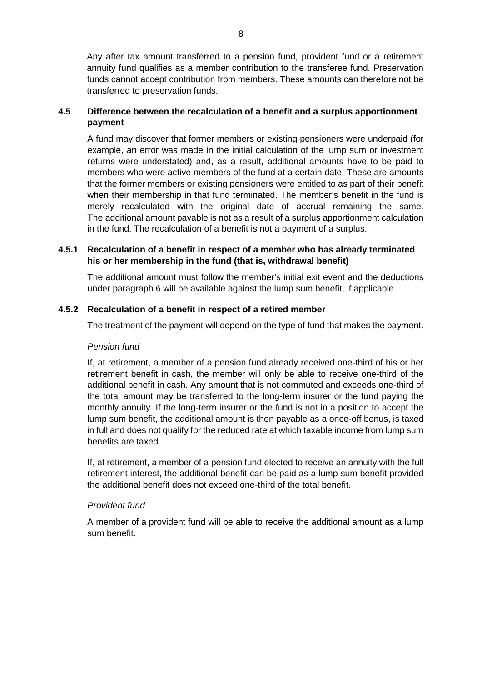Any after tax amount transferred to a pension fund, provident fund or a retirement annuity fund qualifies as a member contribution to the transferee fund. Preservation funds cannot accept contribution from members. These amounts can therefore not be transferred to preservation funds.

## **4.5 Difference between the recalculation of a benefit and a surplus apportionment payment**

A fund may discover that former members or existing pensioners were underpaid (for example, an error was made in the initial calculation of the lump sum or investment returns were understated) and, as a result, additional amounts have to be paid to members who were active members of the fund at a certain date. These are amounts that the former members or existing pensioners were entitled to as part of their benefit when their membership in that fund terminated. The member's benefit in the fund is merely recalculated with the original date of accrual remaining the same. The additional amount payable is not as a result of a surplus apportionment calculation in the fund. The recalculation of a benefit is not a payment of a surplus.

## **4.5.1 Recalculation of a benefit in respect of a member who has already terminated his or her membership in the fund (that is, withdrawal benefit)**

The additional amount must follow the member's initial exit event and the deductions under paragraph 6 will be available against the lump sum benefit, if applicable.

## **4.5.2 Recalculation of a benefit in respect of a retired member**

The treatment of the payment will depend on the type of fund that makes the payment.

#### *Pension fund*

If, at retirement, a member of a pension fund already received one-third of his or her retirement benefit in cash, the member will only be able to receive one-third of the additional benefit in cash. Any amount that is not commuted and exceeds one-third of the total amount may be transferred to the long-term insurer or the fund paying the monthly annuity. If the long-term insurer or the fund is not in a position to accept the lump sum benefit, the additional amount is then payable as a once-off bonus, is taxed in full and does not qualify for the reduced rate at which taxable income from lump sum benefits are taxed.

If, at retirement, a member of a pension fund elected to receive an annuity with the full retirement interest, the additional benefit can be paid as a lump sum benefit provided the additional benefit does not exceed one-third of the total benefit.

#### *Provident fund*

A member of a provident fund will be able to receive the additional amount as a lump sum benefit.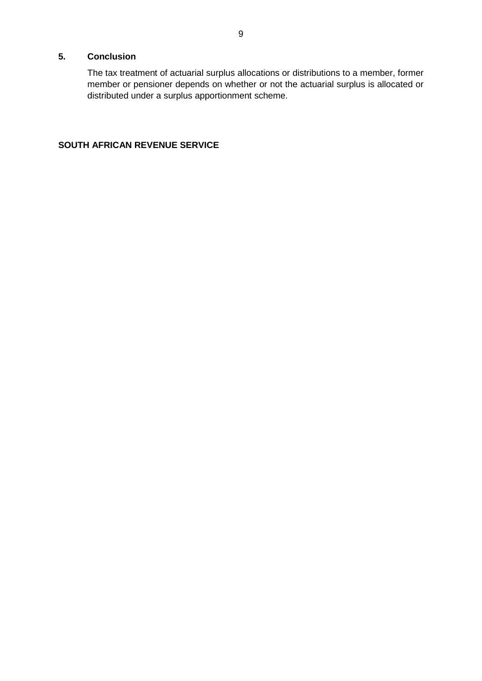## **5. Conclusion**

The tax treatment of actuarial surplus allocations or distributions to a member, former member or pensioner depends on whether or not the actuarial surplus is allocated or distributed under a surplus apportionment scheme.

## **SOUTH AFRICAN REVENUE SERVICE**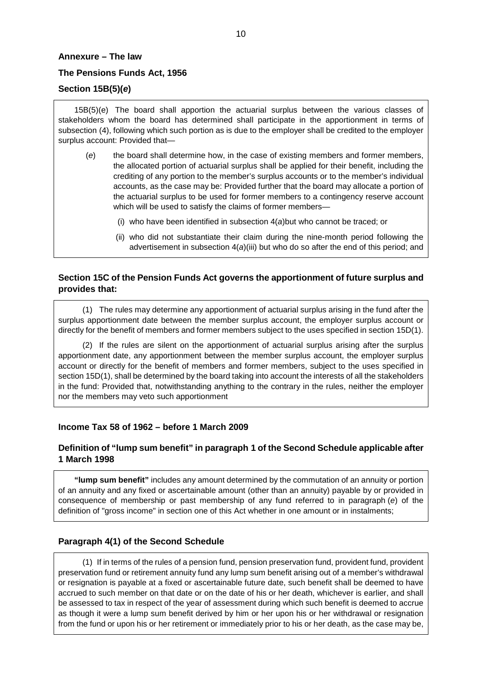#### <span id="page-9-0"></span>**Annexure – The law**

#### **The Pensions Funds Act, 1956**

### **Section 15B(5)(***e***)**

15B(5)(e) The board shall apportion the actuarial surplus between the various classes of stakeholders whom the board has determined shall participate in the apportionment in terms of subsection (4), following which such portion as is due to the employer shall be credited to the employer surplus account: Provided that—

- (*e*) the board shall determine how, in the case of existing members and former members, the allocated portion of actuarial surplus shall be applied for their benefit, including the crediting of any portion to the member's surplus accounts or to the member's individual accounts, as the case may be: Provided further that the board may allocate a portion of the actuarial surplus to be used for former members to a contingency reserve account which will be used to satisfy the claims of former members—
	- (i) who have been identified in subsection 4(*a*)but who cannot be traced; or
	- (ii) who did not substantiate their claim during the nine-month period following the advertisement in subsection 4(*a*)(iii) but who do so after the end of this period; and

### **Section 15C of the Pension Funds Act governs the apportionment of future surplus and provides that:**

(1) The rules may determine any apportionment of actuarial surplus arising in the fund after the surplus apportionment date between the member surplus account, the employer surplus account or directly for the benefit of members and former members subject to the uses specified in section 15D(1).

(2) If the rules are silent on the apportionment of actuarial surplus arising after the surplus apportionment date, any apportionment between the member surplus account, the employer surplus account or directly for the benefit of members and former members, subject to the uses specified in section 15D(1), shall be determined by the board taking into account the interests of all the stakeholders in the fund: Provided that, notwithstanding anything to the contrary in the rules, neither the employer nor the members may veto such apportionment

#### **Income Tax 58 of 1962 – before 1 March 2009**

#### **Definition of "lump sum benefit" in paragraph 1 of the Second Schedule applicable after 1 March 1998**

**"lump sum benefit"** includes any amount determined by the commutation of an annuity or portion of an annuity and any fixed or ascertainable amount (other than an annuity) payable by or provided in consequence of membership or past membership of any fund referred to in paragraph (*e*) of the definition of "gross income" in section one of this Act whether in one amount or in instalments;

#### **Paragraph 4(1) of the Second Schedule**

(1) If in terms of the rules of a pension fund, pension preservation fund, provident fund, provident preservation fund or retirement annuity fund any lump sum benefit arising out of a member's withdrawal or resignation is payable at a fixed or ascertainable future date, such benefit shall be deemed to have accrued to such member on that date or on the date of his or her death, whichever is earlier, and shall be assessed to tax in respect of the year of assessment during which such benefit is deemed to accrue as though it were a lump sum benefit derived by him or her upon his or her withdrawal or resignation from the fund or upon his or her retirement or immediately prior to his or her death, as the case may be,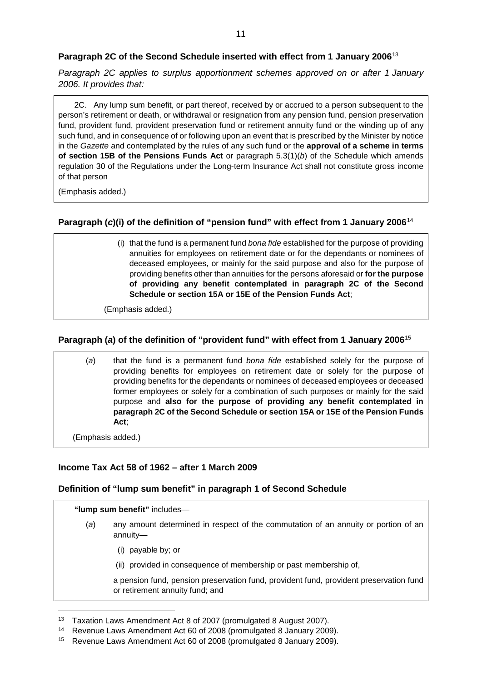#### **Paragraph 2C of the Second Schedule inserted with effect from 1 January 2006**[13](#page-10-0)

*Paragraph 2C applies to surplus apportionment schemes approved on or after 1 January 2006. It provides that:*

2C. Any lump sum benefit, or part thereof, received by or accrued to a person subsequent to the person's retirement or death, or withdrawal or resignation from any pension fund, pension preservation fund, provident fund, provident preservation fund or retirement annuity fund or the winding up of any such fund, and in consequence of or following upon an event that is prescribed by the Minister by notice in the *Gazette* and contemplated by the rules of any such fund or the **approval of a scheme in terms of section 15B of the Pensions Funds Act** or paragraph 5.3(1)(*b*) of the Schedule which amends regulation 30 of the Regulations under the Long-term Insurance Act shall not constitute gross income of that person

(Emphasis added.)

## **Paragraph (***c***)(i) of the definition of "pension fund" with effect from 1 January 2006**[14](#page-10-1)

(i) that the fund is a permanent fund *bona fide* established for the purpose of providing annuities for employees on retirement date or for the dependants or nominees of deceased employees, or mainly for the said purpose and also for the purpose of providing benefits other than annuities for the [persons](javascript:void(0);) aforesaid or **for the purpose of providing any benefit contemplated in paragraph 2C of the Second Schedule or section 15A or 15E of the Pension Funds Act**;

(Emphasis added.)

## **Paragraph (***a***) of the definition of "provident fund" with effect from 1 January 2006**[15](#page-10-2)

| (a) | that the fund is a permanent fund bona fide established solely for the purpose of    |
|-----|--------------------------------------------------------------------------------------|
|     | providing benefits for employees on retirement date or solely for the purpose of     |
|     | providing benefits for the dependants or nominees of deceased employees or deceased  |
|     | former employees or solely for a combination of such purposes or mainly for the said |
|     | purpose and also for the purpose of providing any benefit contemplated in            |
|     | paragraph 2C of the Second Schedule or section 15A or 15E of the Pension Funds       |
|     | Act:                                                                                 |

(Emphasis added.)

#### **Income Tax Act 58 of 1962 – after 1 March 2009**

#### **Definition of "lump sum benefit" in paragraph 1 of Second Schedule**

#### **"lump sum benefit"** includes—

- (*a*) any amount determined in respect of the commutation of an annuity or portion of an annuity—
	- (i) payable by; or
	- (ii) provided in consequence of membership or past membership of,

a pension fund, pension preservation fund, provident fund, provident preservation fund or retirement annuity fund; and

<span id="page-10-0"></span><sup>&</sup>lt;sup>13</sup> Taxation Laws Amendment Act 8 of 2007 (promulgated 8 August 2007).

<span id="page-10-1"></span><sup>14</sup> Revenue Laws Amendment Act 60 of 2008 (promulgated 8 January 2009).

<span id="page-10-2"></span><sup>15</sup> Revenue Laws Amendment Act 60 of 2008 (promulgated 8 January 2009).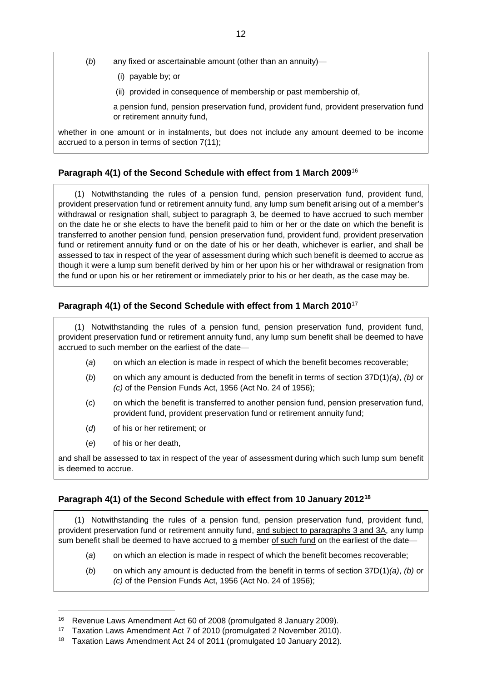- (*b*) any fixed or ascertainable amount (other than an annuity)—
	- (i) payable by; or
	- (ii) provided in consequence of membership or past membership of,

a pension fund, pension preservation fund, provident fund, provident preservation fund or retirement annuity fund,

whether in one amount or in instalments, but does not include any amount deemed to be income accrued to a person in terms of section 7(11);

## **Paragraph 4(1) of the Second Schedule with effect from 1 March 2009**[16](#page-11-0)

(1) Notwithstanding the rules of a pension fund, pension preservation fund, provident fund, provident preservation fund or retirement annuity fund, any lump sum benefit arising out of a member's withdrawal or resignation shall, subject to paragraph 3, be deemed to have accrued to such member on the date he or she elects to have the benefit paid to him or her or the date on which the benefit is transferred to another pension fund, pension preservation fund, provident fund, provident preservation fund or retirement annuity fund or on the date of his or her death, whichever is earlier, and shall be assessed to tax in respect of the year of assessment during which such benefit is deemed to accrue as though it were a lump sum benefit derived by him or her upon his or her withdrawal or resignation from the fund or upon his or her retirement or immediately prior to his or her death, as the case may be.

## **Paragraph 4(1) of the Second Schedule with effect from 1 March 2010**[17](#page-11-1)

(1) Notwithstanding the rules of a pension fund, pension preservation fund, provident fund, provident preservation fund or retirement annuity fund, any lump sum benefit shall be deemed to have accrued to such member on the earliest of the date—

- (*a*) on which an election is made in respect of which the benefit becomes recoverable;
- (*b*) on which any amount is deducted from the benefit in terms of section 37D(1)*(a)*, *(b)* or *(c)* of the Pension Funds Act, 1956 (Act No. 24 of 1956);
- (*c*) on which the benefit is transferred to another pension fund, pension preservation fund, provident fund, provident preservation fund or retirement annuity fund;
- (*d*) of his or her retirement; or
- (*e*) of his or her death,

and shall be assessed to tax in respect of the year of assessment during which such lump sum benefit is deemed to accrue.

#### **Paragraph 4(1) of the Second Schedule with effect from 10 January 2012[18](#page-11-2)**

(1) Notwithstanding the rules of a pension fund, pension preservation fund, provident fund, provident preservation fund or retirement annuity fund, and subject to paragraphs 3 and 3A, any lump sum benefit shall be deemed to have accrued to a member of such fund on the earliest of the date-

- (*a*) on which an election is made in respect of which the benefit becomes recoverable;
- (*b*) on which any amount is deducted from the benefit in terms of section 37D(1)*(a)*, *(b)* or *(c)* of the Pension Funds Act, 1956 (Act No. 24 of 1956);

<span id="page-11-0"></span> <sup>16</sup> Revenue Laws Amendment Act 60 of 2008 (promulgated 8 January 2009).

<span id="page-11-1"></span><sup>17</sup> Taxation Laws Amendment Act 7 of 2010 (promulgated 2 November 2010).

<span id="page-11-2"></span><sup>18</sup> Taxation Laws Amendment Act 24 of 2011 (promulgated 10 January 2012).